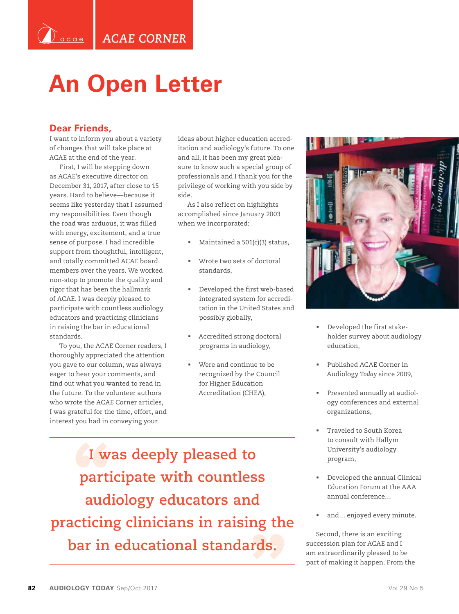## **An Open Letter**

## **Dear Friends,**

<sup>)`</sup>acae

I want to inform you about a variety of changes that will take place at ACAE at the end of the year.

First, I will be stepping down as ACAE's executive director on December 31, 2017, after close to 15 years. Hard to believe—because it seems like yesterday that I assumed my responsibilities. Even though the road was arduous, it was filled with energy, excitement, and a true sense of purpose. I had incredible support from thoughtful, intelligent, and totally committed ACAE board members over the years. We worked non-stop to promote the quality and rigor that has been the hallmark of ACAE. I was deeply pleased to participate with countless audiology educators and practicing clinicians in raising the bar in educational standards.

To you, the ACAE Corner readers, I thoroughly appreciated the attention you gave to our column, was always eager to hear your comments, and find out what you wanted to read in the future. To the volunteer authors who wrote the ACAE Corner articles, I was grateful for the time, effort, and interest you had in conveying your

ideas about higher education accreditation and audiology's future. To one and all, it has been my great pleasure to know such a special group of professionals and I thank you for the privilege of working with you side by side.

As I also reflect on highlights accomplished since January 2003 when we incorporated:

- Maintained a 501(c)(3) status,
- Wrote two sets of doctoral standards,
- Developed the first web-based integrated system for accreditation in the United States and possibly globally,
- Accredited strong doctoral programs in audiology,
- Were and continue to be recognized by the Council for Higher Education Accreditation (CHEA),

**I was deeply pleased to participate with countless audiology educators and practicing clinicians in raising the bar in educational standards.**



- Developed the first stakeholder survey about audiology education,
- Published ACAE Corner in Audiology *Today* since 2009,
- Presented annually at audiology conferences and external organizations,
- Traveled to South Korea to consult with Hallym University's audiology program,
- Developed the annual Clinical Education Forum at the AAA annual conference…
- and… enjoyed every minute.

Second, there is an exciting succession plan for ACAE and I am extraordinarily pleased to be part of making it happen. From the